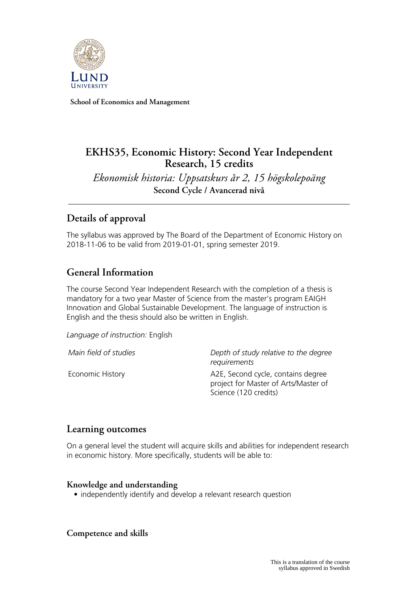

**School of Economics and Management**

# **EKHS35, Economic History: Second Year Independent Research, 15 credits**

*Ekonomisk historia: Uppsatskurs år 2, 15 högskolepoäng* **Second Cycle / Avancerad nivå**

# **Details of approval**

The syllabus was approved by The Board of the Department of Economic History on 2018-11-06 to be valid from 2019-01-01, spring semester 2019.

# **General Information**

The course Second Year Independent Research with the completion of a thesis is mandatory for a two year Master of Science from the master's program EAIGH Innovation and Global Sustainable Development. The language of instruction is English and the thesis should also be written in English.

*Language of instruction:* English

*Main field of studies Depth of study relative to the degree requirements*

Economic History **A2E, Second cycle, contains degree** project for Master of Arts/Master of Science (120 credits)

### **Learning outcomes**

On a general level the student will acquire skills and abilities for independent research in economic history. More specifically, students will be able to:

#### **Knowledge and understanding**

• independently identify and develop a relevant research question

**Competence and skills**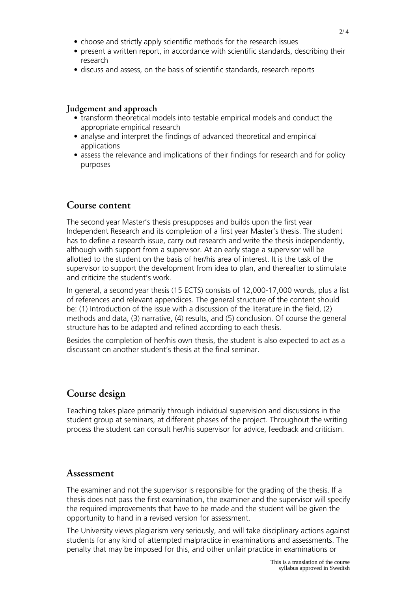- choose and strictly apply scientific methods for the research issues
- present a written report, in accordance with scientific standards, describing their research
- discuss and assess, on the basis of scientific standards, research reports

#### **Judgement and approach**

- transform theoretical models into testable empirical models and conduct the appropriate empirical research
- analyse and interpret the findings of advanced theoretical and empirical applications
- assess the relevance and implications of their findings for research and for policy purposes

#### **Course content**

The second year Master's thesis presupposes and builds upon the first year Independent Research and its completion of a first year Master's thesis. The student has to define a research issue, carry out research and write the thesis independently, although with support from a supervisor. At an early stage a supervisor will be allotted to the student on the basis of her/his area of interest. It is the task of the supervisor to support the development from idea to plan, and thereafter to stimulate and criticize the student's work.

In general, a second year thesis (15 ECTS) consists of 12,000-17,000 words, plus a list of references and relevant appendices. The general structure of the content should be: (1) Introduction of the issue with a discussion of the literature in the field, (2) methods and data, (3) narrative, (4) results, and (5) conclusion. Of course the general structure has to be adapted and refined according to each thesis.

Besides the completion of her/his own thesis, the student is also expected to act as a discussant on another student's thesis at the final seminar.

### **Course design**

Teaching takes place primarily through individual supervision and discussions in the student group at seminars, at different phases of the project. Throughout the writing process the student can consult her/his supervisor for advice, feedback and criticism.

#### **Assessment**

The examiner and not the supervisor is responsible for the grading of the thesis. If a thesis does not pass the first examination, the examiner and the supervisor will specify the required improvements that have to be made and the student will be given the opportunity to hand in a revised version for assessment.

The University views plagiarism very seriously, and will take disciplinary actions against students for any kind of attempted malpractice in examinations and assessments. The penalty that may be imposed for this, and other unfair practice in examinations or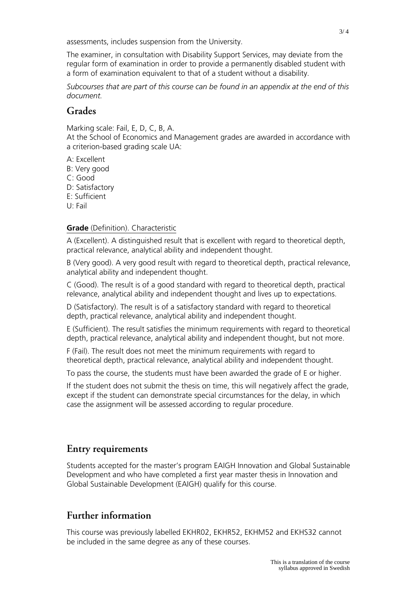assessments, includes suspension from the University.

The examiner, in consultation with Disability Support Services, may deviate from the regular form of examination in order to provide a permanently disabled student with a form of examination equivalent to that of a student without a disability.

*Subcourses that are part of this course can be found in an appendix at the end of this document.*

### **Grades**

Marking scale: Fail, E, D, C, B, A.

At the School of Economics and Management grades are awarded in accordance with a criterion-based grading scale UA:

- A: Excellent
- B: Very good
- C: Good
- D: Satisfactory
- E: Sufficient
- U: Fail

#### **Grade** (Definition). Characteristic

A (Excellent). A distinguished result that is excellent with regard to theoretical depth, practical relevance, analytical ability and independent thought.

B (Very good). A very good result with regard to theoretical depth, practical relevance, analytical ability and independent thought.

C (Good). The result is of a good standard with regard to theoretical depth, practical relevance, analytical ability and independent thought and lives up to expectations.

D (Satisfactory). The result is of a satisfactory standard with regard to theoretical depth, practical relevance, analytical ability and independent thought.

E (Sufficient). The result satisfies the minimum requirements with regard to theoretical depth, practical relevance, analytical ability and independent thought, but not more.

F (Fail). The result does not meet the minimum requirements with regard to theoretical depth, practical relevance, analytical ability and independent thought.

To pass the course, the students must have been awarded the grade of E or higher.

If the student does not submit the thesis on time, this will negatively affect the grade, except if the student can demonstrate special circumstances for the delay, in which case the assignment will be assessed according to regular procedure.

### **Entry requirements**

Students accepted for the master's program EAIGH Innovation and Global Sustainable Development and who have completed a first year master thesis in Innovation and Global Sustainable Development (EAIGH) qualify for this course.

## **Further information**

This course was previously labelled EKHR02, EKHR52, EKHM52 and EKHS32 cannot be included in the same degree as any of these courses.